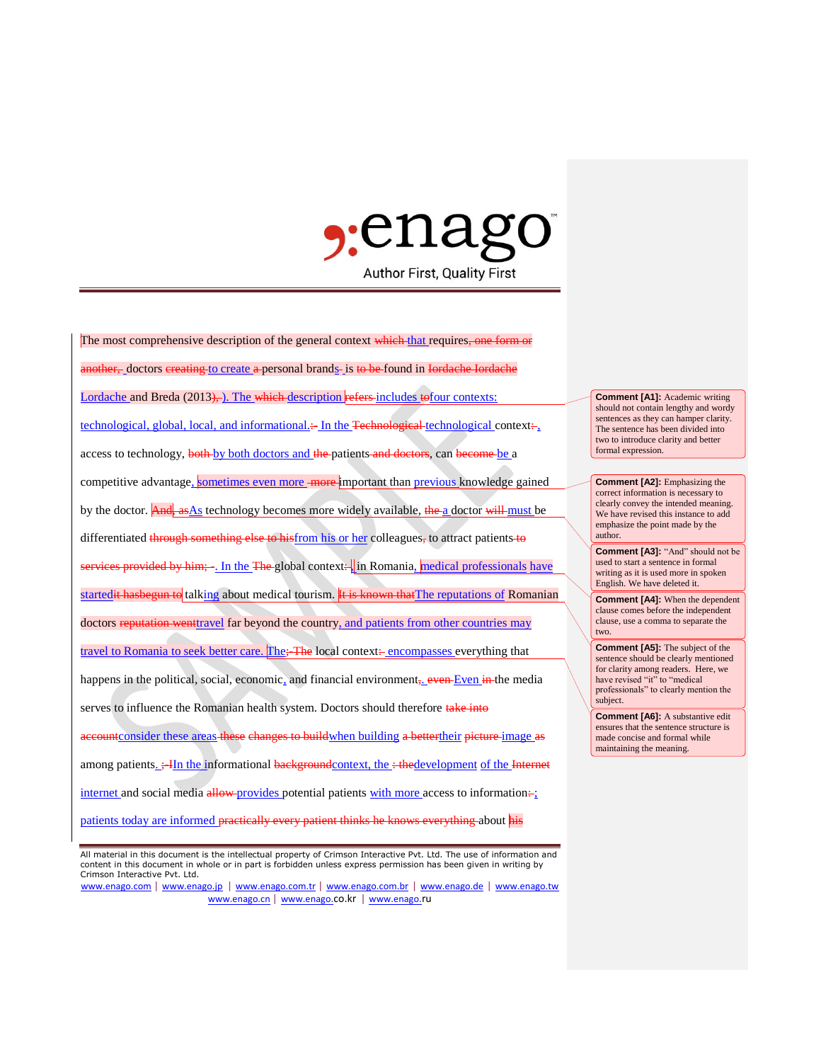

The most comprehensive description of the general context which that requires, one form or other, doctors creating to create a personal brands is to be found in Iordache Iordache Lordache and Breda (2013), ). The which description refers includes to four contexts: technological, global, local, and informational. $\div$  In the Technological technological context: access to technology, both by both doctors and the patients and doctors, can become be a competitive advantage, sometimes even more more important than previous knowledge gained by the doctor. And, as As technology becomes more widely available, the a doctor will must be differentiated through something else to hisfrom his or her colleagues, to attract patients to provided by him; -. In the The global context: in Romania, medical professionals have startedit hasbegun to talking about medical tourism. It is known that The reputations of Romanian doctors reputation wenttravel far beyond the country, and patients from other countries may travel to Romania to seek better care. The; The local context: encompasses everything that happens in the political, social, economic, and financial environment, even Even in the media serves to influence the Romanian health system. Doctors should therefore take into accountconsider these areas these changes to build when building a better their picture image as among patients.  $\div$ IIn the informational backgroundcontext, the  $\div$  thedevelopment of the Internet internet and social media  $\frac{d}{d}$  media  $\frac{d}{d}$  potential patients with more access to information: patients today are informed practically every patient thinks he knows everything about his

www.enago.com | www.enago.jp | www.enago.com.tr | www.enago.com.br | www.enago.de | www.enago.tw www.enago.cn | www.enago.co.kr | www.enago.ru

**Comment [A1]:** Academic writing should not contain lengthy and wordy sentences as they can hamper clarity. The sentence has been divided into two to introduce clarity and better formal expression.

**Comment [A2]:** Emphasizing the correct information is necessary to clearly convey the intended meaning. We have revised this instance to add emphasize the point made by the author.

**Comment [A3]:** "And" should not be used to start a sentence in formal writing as it is used more in spoken English. We have deleted it.

**Comment [A4]:** When the dependent clause comes before the independent clause, use a comma to separate the two.

**Comment [A5]:** The subject of the sentence should be clearly mentioned for clarity among readers. Here, we have revised "it" to "medical professionals" to clearly mention the subject.

**Comment [A6]:** A substantive edit ensures that the sentence structure is made concise and formal while maintaining the meaning.

All material in this document is the intellectual property of Crimson Interactive Pvt. Ltd. The use of information and content in this document in whole or in part is forbidden unless express permission has been given in writing by Crimson Interactive Pvt. Ltd.